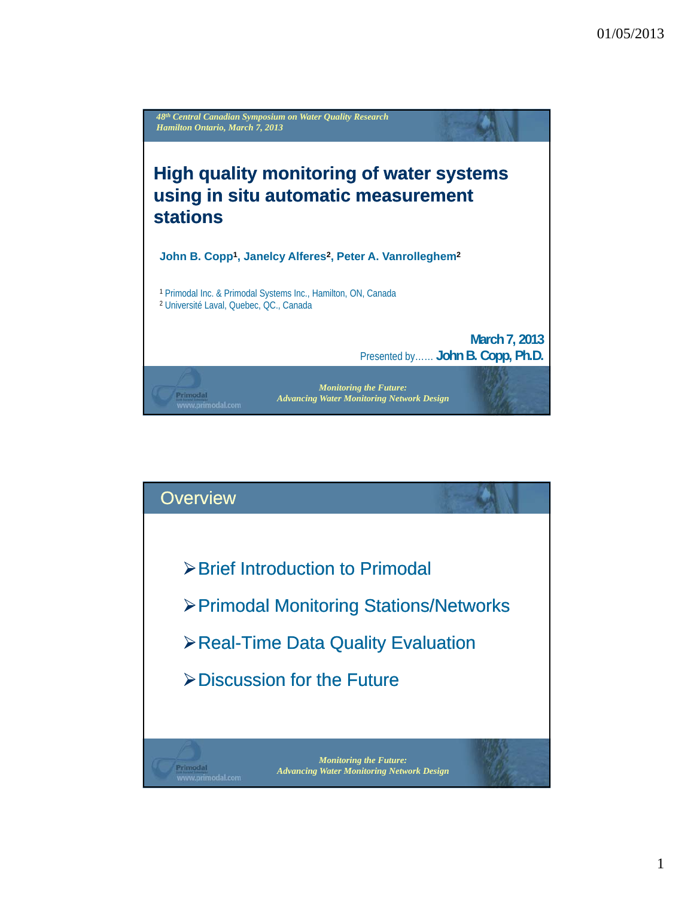

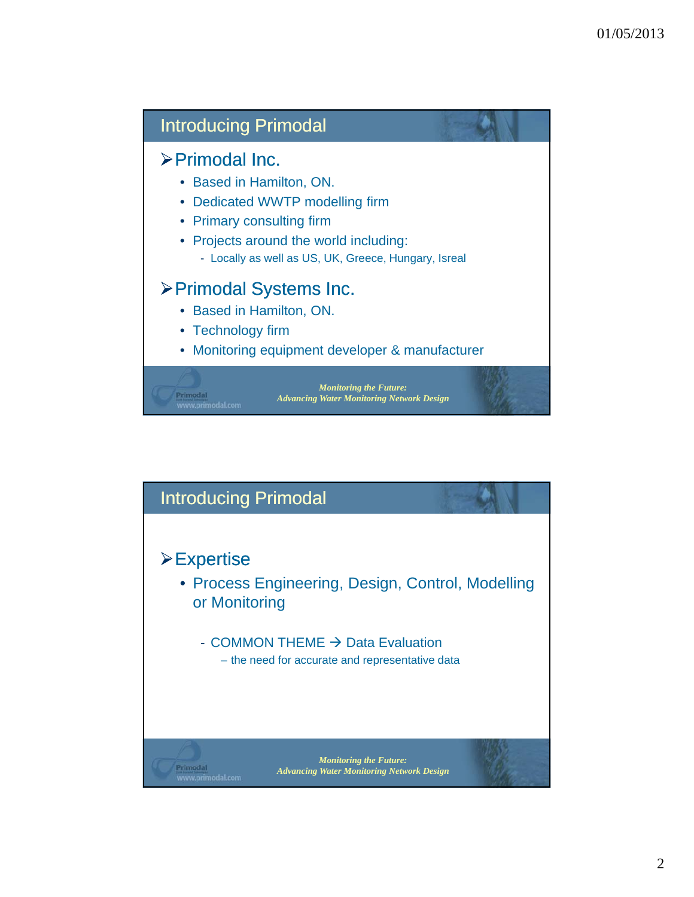

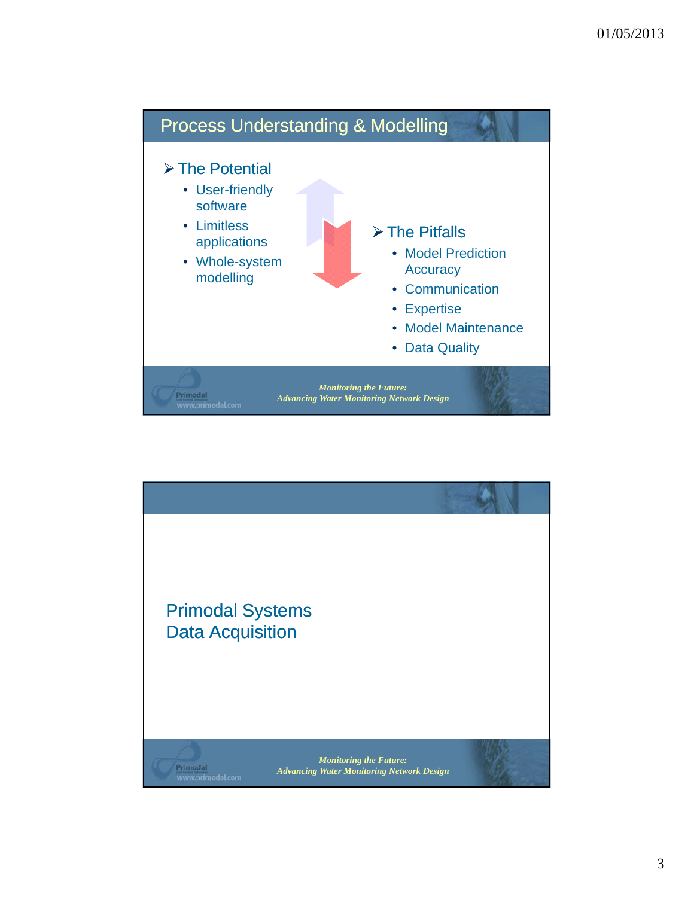

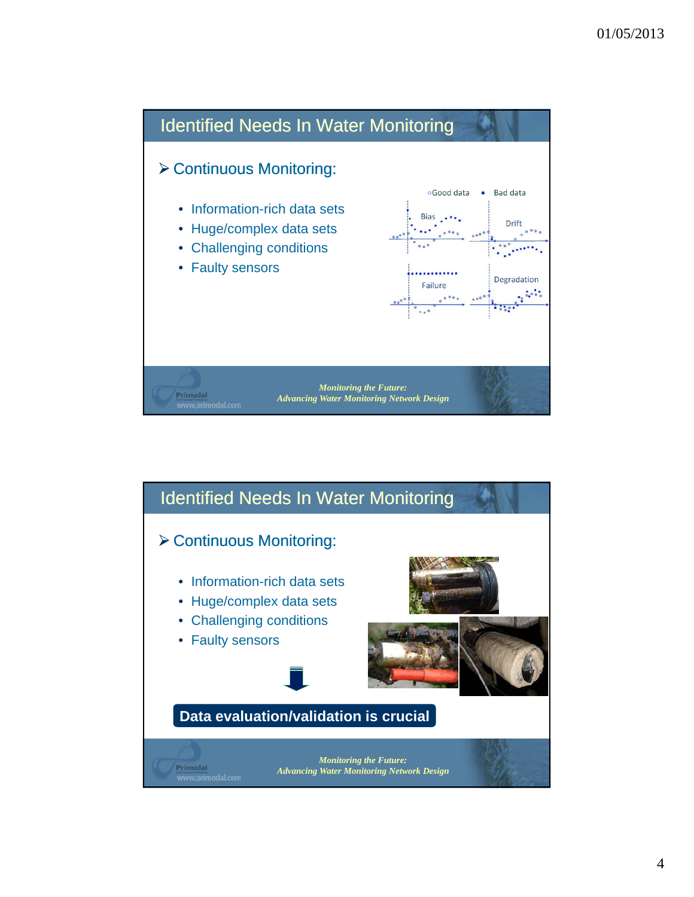

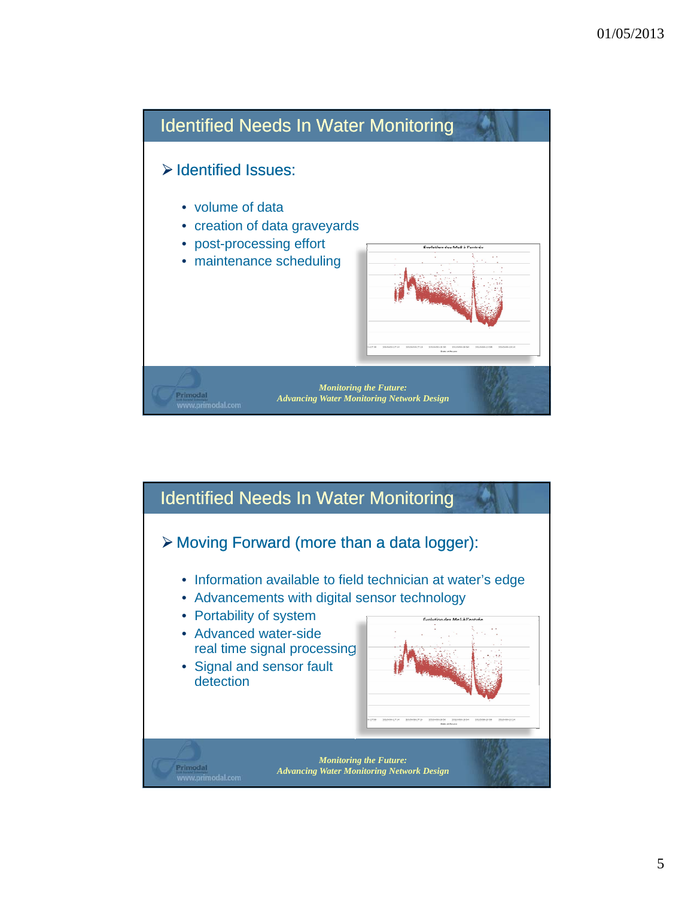

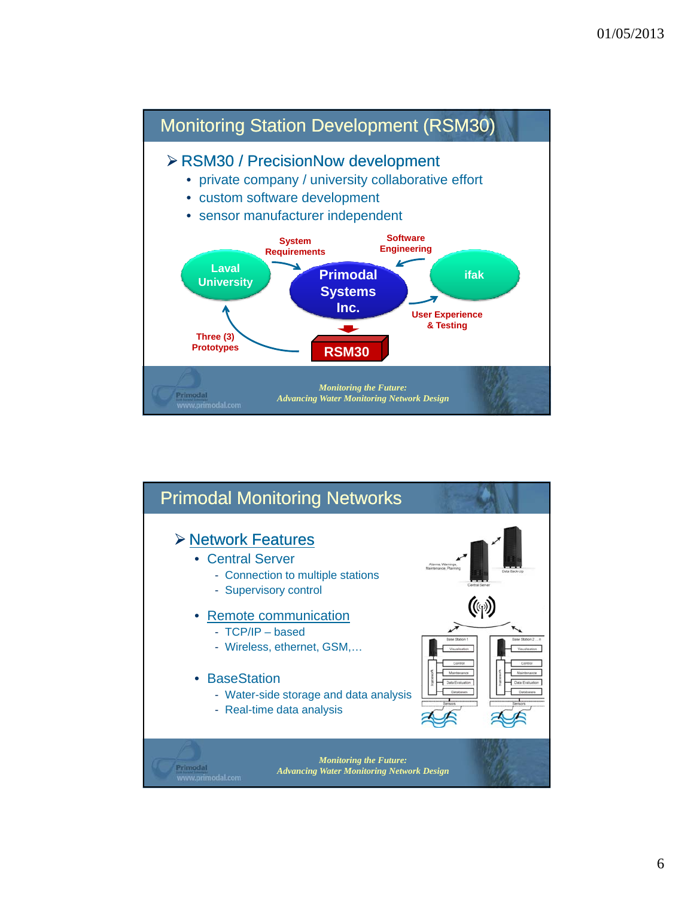

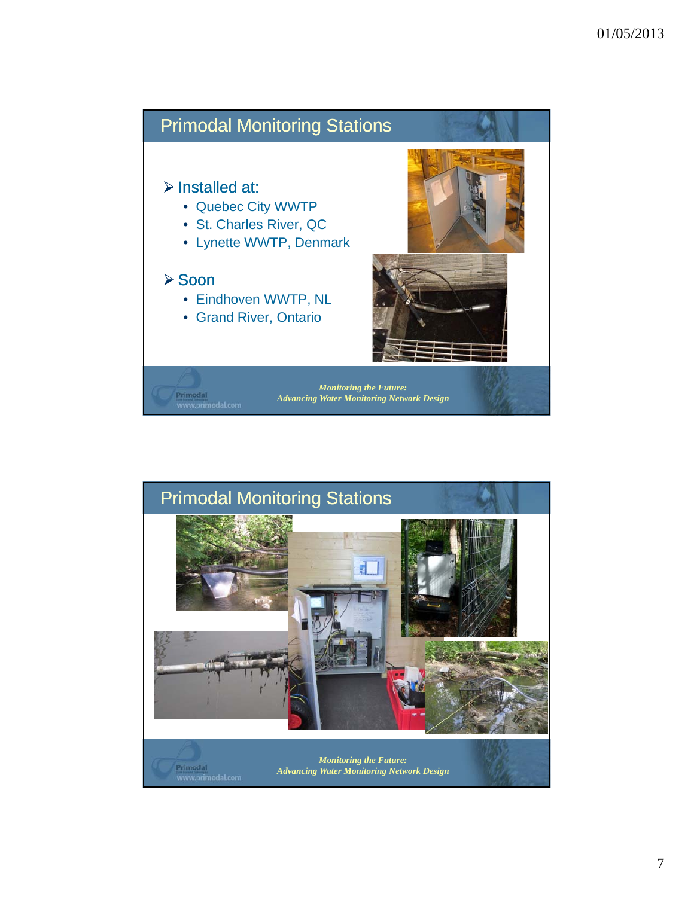

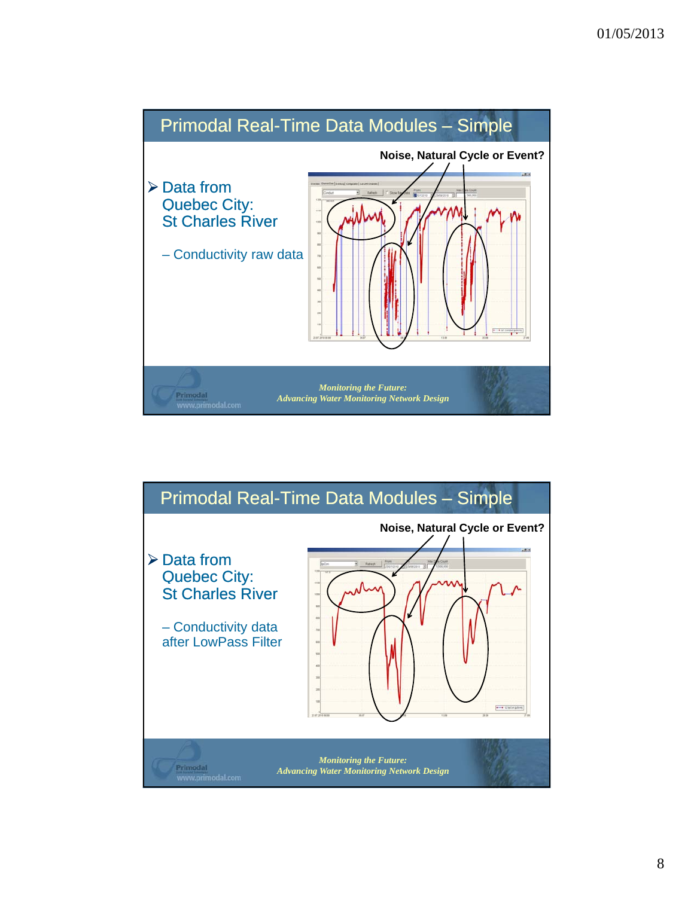

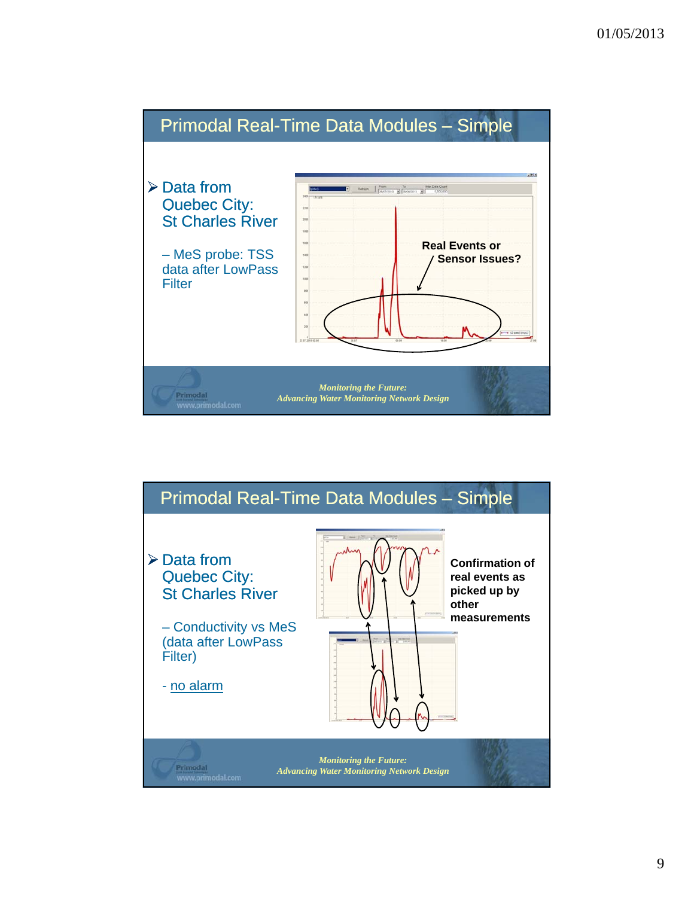

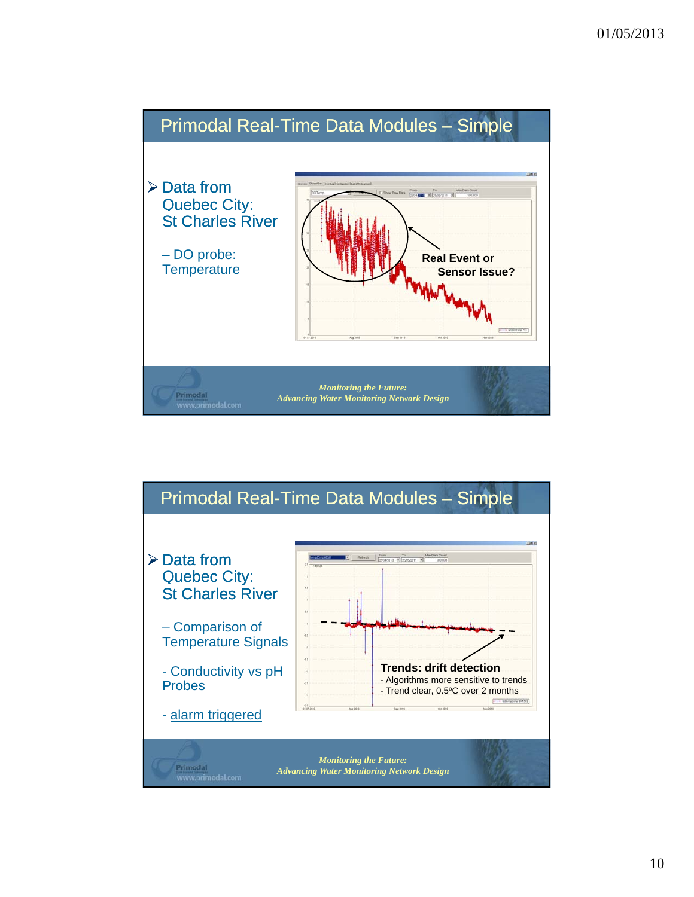

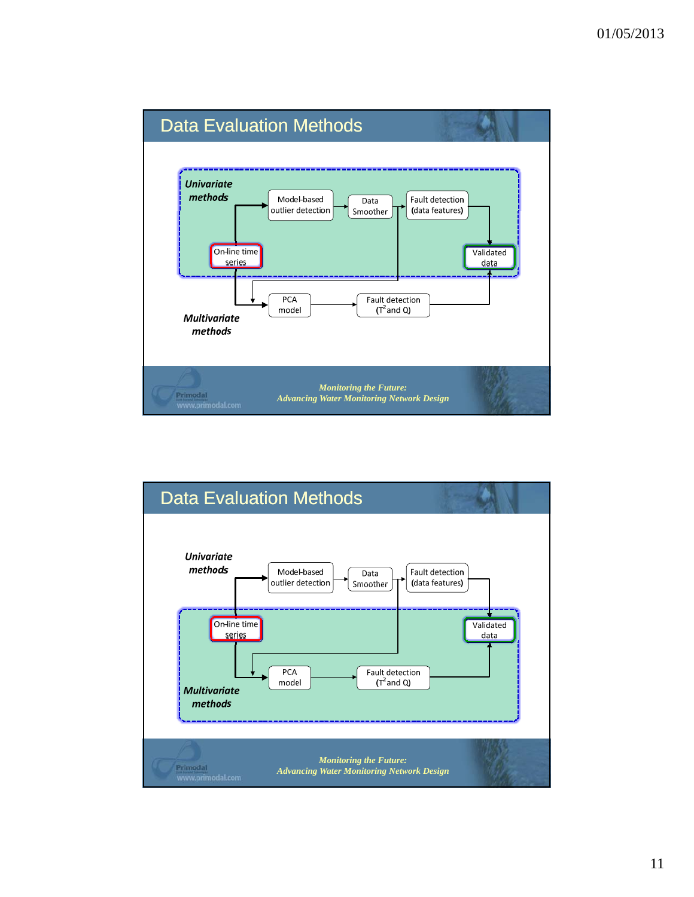

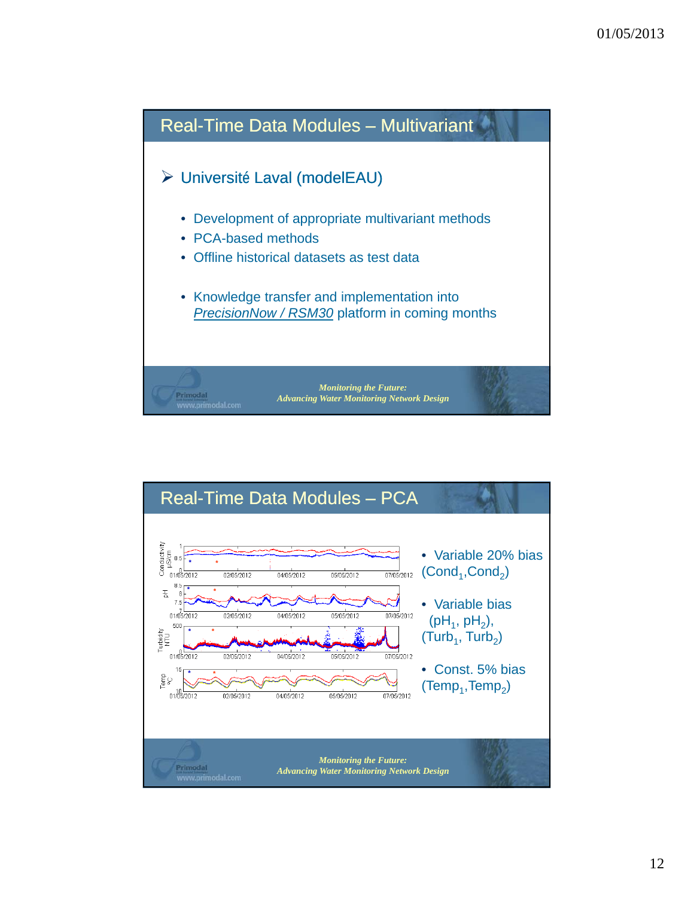

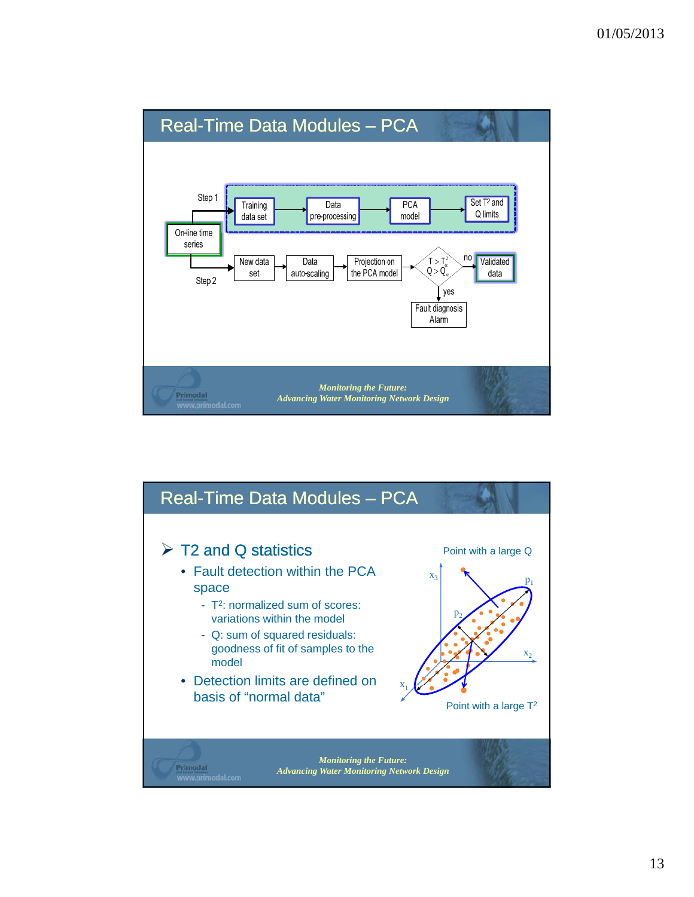

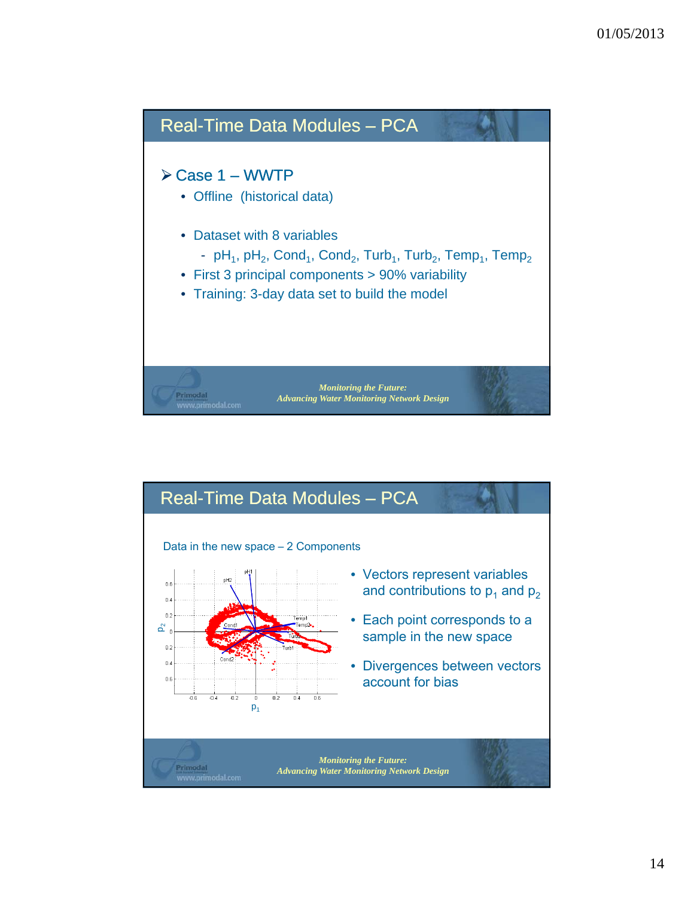

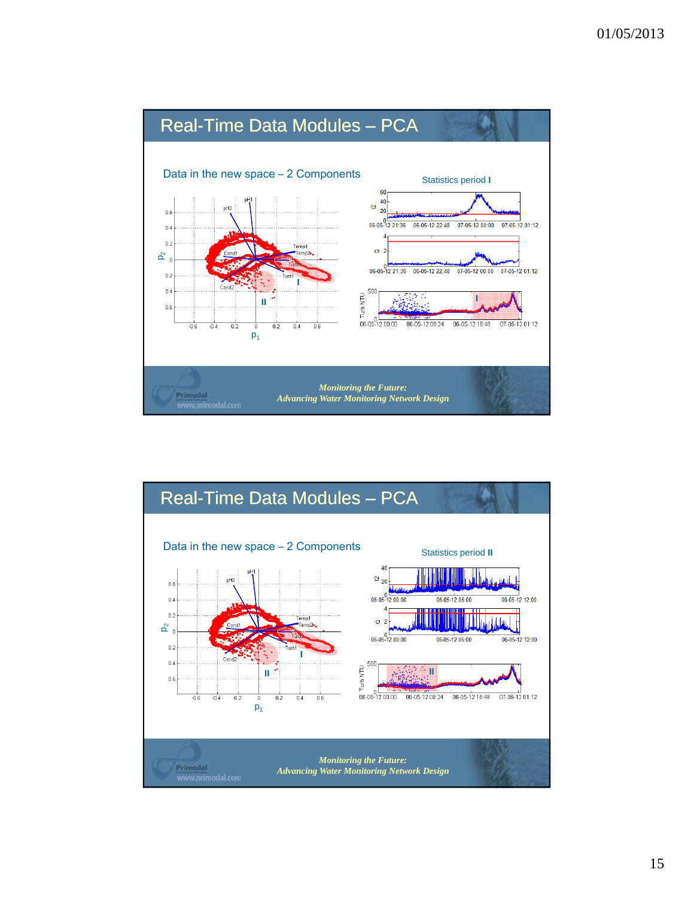

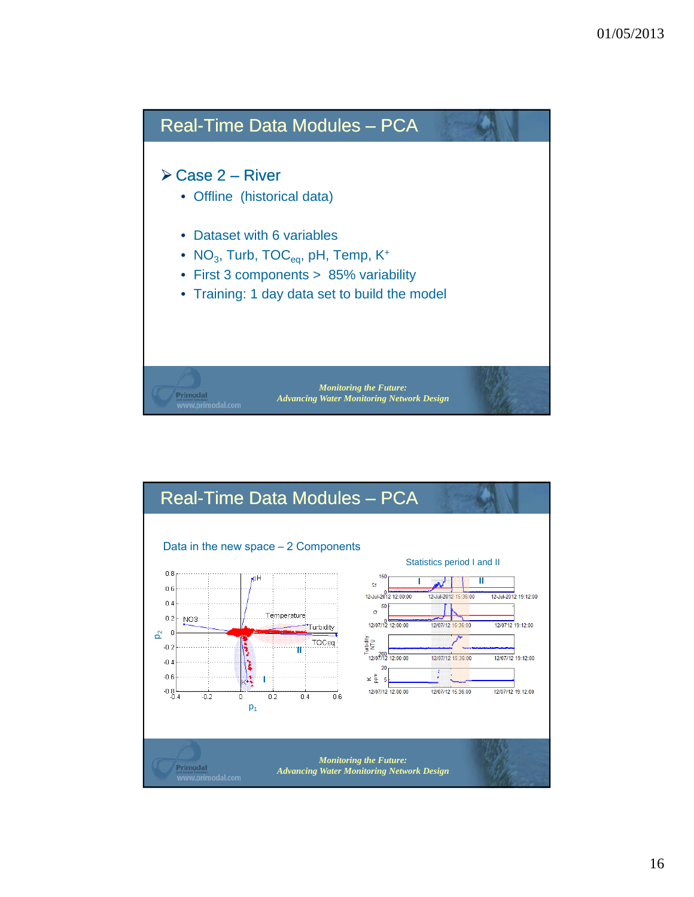

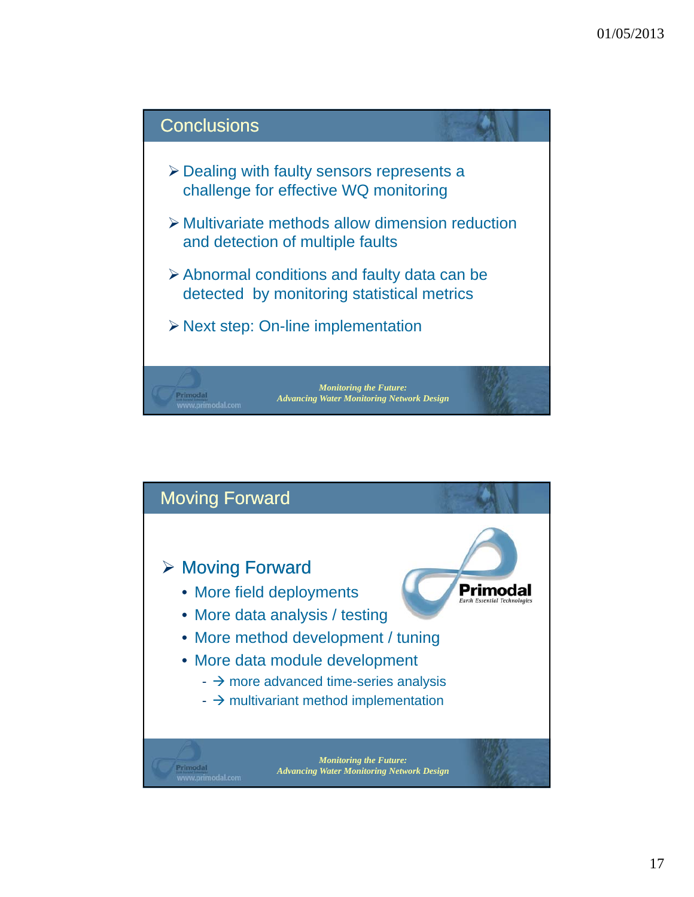